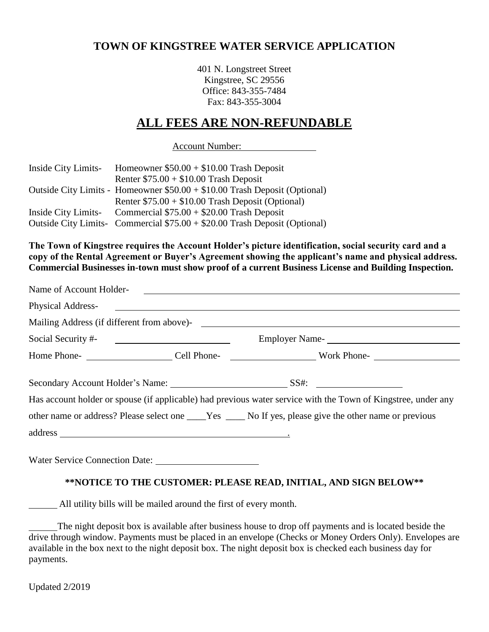# **TOWN OF KINGSTREE WATER SERVICE APPLICATION**

401 N. Longstreet Street Kingstree, SC 29556 Office: 843-355-7484 Fax: 843-355-3004

# **ALL FEES ARE NON-REFUNDABLE**

Account Number:

| Inside City Limits- | Homeowner $$50.00 + $10.00$ Trash Deposit                                  |
|---------------------|----------------------------------------------------------------------------|
|                     | Renter $$75.00 + $10.00$ Trash Deposit                                     |
|                     | Outside City Limits - Homeowner \$50.00 + \$10.00 Trash Deposit (Optional) |
|                     | Renter $$75.00 + $10.00$ Trash Deposit (Optional)                          |
|                     | Inside City Limits- Commercial $$75.00 + $20.00$ Trash Deposit             |
|                     | Outside City Limits- Commercial \$75.00 + \$20.00 Trash Deposit (Optional) |

**The Town of Kingstree requires the Account Holder's picture identification, social security card and a copy of the Rental Agreement or Buyer's Agreement showing the applicant's name and physical address. Commercial Businesses in-town must show proof of a current Business License and Building Inspection.**

| Name of Account Holder-<br><u> and</u> <u> and</u> <u>and</u> <b>2</b> |                                                                                                               |
|------------------------------------------------------------------------|---------------------------------------------------------------------------------------------------------------|
|                                                                        | Physical Address-<br><u> Land Andress</u>                                                                     |
|                                                                        |                                                                                                               |
| Social Security #-                                                     |                                                                                                               |
|                                                                        |                                                                                                               |
|                                                                        |                                                                                                               |
|                                                                        | Has account holder or spouse (if applicable) had previous water service with the Town of Kingstree, under any |
|                                                                        | other name or address? Please select one _____Yes ______No If yes, please give the other name or previous     |
|                                                                        |                                                                                                               |
|                                                                        |                                                                                                               |

## **\*\*NOTICE TO THE CUSTOMER: PLEASE READ, INITIAL, AND SIGN BELOW\*\***

All utility bills will be mailed around the first of every month.

The night deposit box is available after business house to drop off payments and is located beside the drive through window. Payments must be placed in an envelope (Checks or Money Orders Only). Envelopes are available in the box next to the night deposit box. The night deposit box is checked each business day for payments.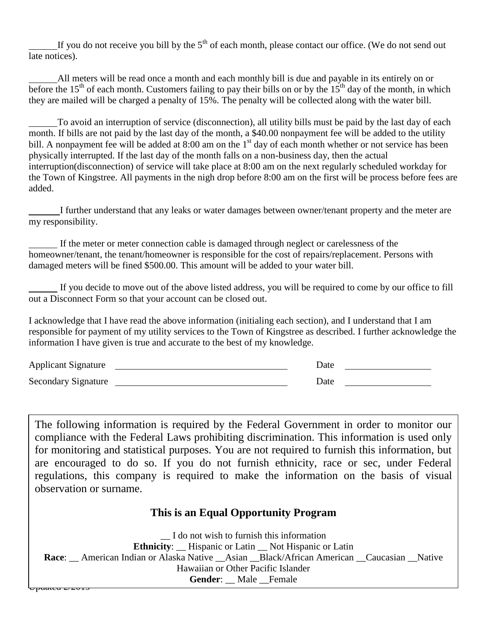If you do not receive you bill by the  $5<sup>th</sup>$  of each month, please contact our office. (We do not send out late notices).

All meters will be read once a month and each monthly bill is due and payable in its entirely on or before the 15<sup>th</sup> of each month. Customers failing to pay their bills on or by the  $15<sup>th</sup>$  day of the month, in which they are mailed will be charged a penalty of 15%. The penalty will be collected along with the water bill.

To avoid an interruption of service (disconnection), all utility bills must be paid by the last day of each month. If bills are not paid by the last day of the month, a \$40.00 nonpayment fee will be added to the utility bill. A nonpayment fee will be added at 8:00 am on the 1<sup>st</sup> day of each month whether or not service has been physically interrupted. If the last day of the month falls on a non-business day, then the actual interruption(disconnection) of service will take place at 8:00 am on the next regularly scheduled workday for the Town of Kingstree. All payments in the nigh drop before 8:00 am on the first will be process before fees are added.

I further understand that any leaks or water damages between owner/tenant property and the meter are my responsibility.

If the meter or meter connection cable is damaged through neglect or carelessness of the homeowner/tenant, the tenant/homeowner is responsible for the cost of repairs/replacement. Persons with damaged meters will be fined \$500.00. This amount will be added to your water bill.

If you decide to move out of the above listed address, you will be required to come by our office to fill out a Disconnect Form so that your account can be closed out.

I acknowledge that I have read the above information (initialing each section), and I understand that I am responsible for payment of my utility services to the Town of Kingstree as described. I further acknowledge the information I have given is true and accurate to the best of my knowledge.

| <b>Applicant Signature</b> | Date |  |
|----------------------------|------|--|
| <b>Secondary Signature</b> | Date |  |

The following information is required by the Federal Government in order to monitor our compliance with the Federal Laws prohibiting discrimination. This information is used only for monitoring and statistical purposes. You are not required to furnish this information, but are encouraged to do so. If you do not furnish ethnicity, race or sec, under Federal regulations, this company is required to make the information on the basis of visual observation or surname.

# **This is an Equal Opportunity Program**

0 p<del>aginta 2/2019</del> \_\_ I do not wish to furnish this information **Ethnicity**: \_\_ Hispanic or Latin \_\_ Not Hispanic or Latin **Race:** \_\_ American Indian or Alaska Native \_\_ Asian \_\_Black/African American \_\_ Caucasian \_\_Native Hawaiian or Other Pacific Islander Gender: Male Female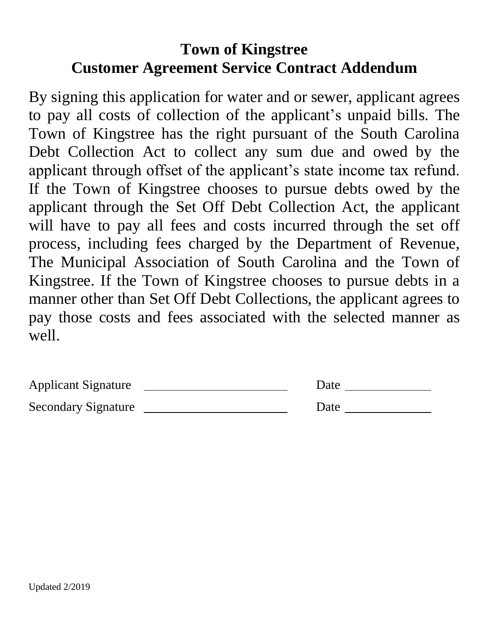# **Town of Kingstree Customer Agreement Service Contract Addendum**

By signing this application for water and or sewer, applicant agrees to pay all costs of collection of the applicant's unpaid bills. The Town of Kingstree has the right pursuant of the South Carolina Debt Collection Act to collect any sum due and owed by the applicant through offset of the applicant's state income tax refund. If the Town of Kingstree chooses to pursue debts owed by the applicant through the Set Off Debt Collection Act, the applicant will have to pay all fees and costs incurred through the set off process, including fees charged by the Department of Revenue, The Municipal Association of South Carolina and the Town of Kingstree. If the Town of Kingstree chooses to pursue debts in a manner other than Set Off Debt Collections, the applicant agrees to pay those costs and fees associated with the selected manner as well.

| <b>Applicant Signature</b> | Date |
|----------------------------|------|
| <b>Secondary Signature</b> | Date |